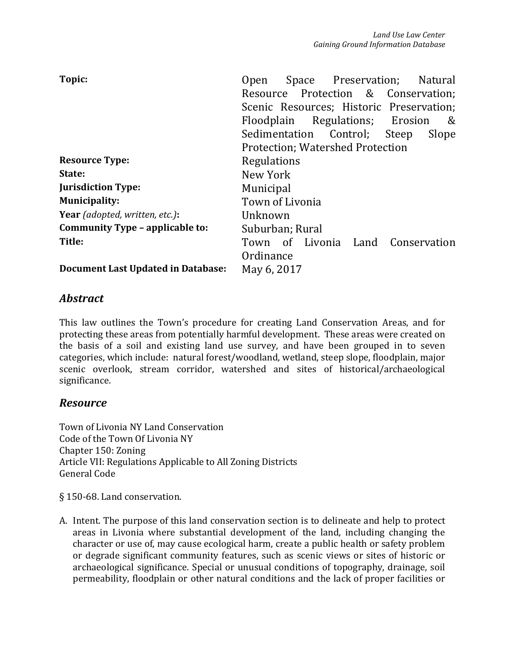| Topic:                                    | Space Preservation; Natural<br><b>Open</b> |  |  |  |
|-------------------------------------------|--------------------------------------------|--|--|--|
|                                           | Resource Protection & Conservation;        |  |  |  |
|                                           | Scenic Resources; Historic Preservation;   |  |  |  |
|                                           | Floodplain Regulations; Erosion<br>&       |  |  |  |
|                                           | Sedimentation Control; Steep<br>Slope      |  |  |  |
|                                           | <b>Protection: Watershed Protection</b>    |  |  |  |
| <b>Resource Type:</b>                     | Regulations                                |  |  |  |
| State:                                    | New York                                   |  |  |  |
| <b>Jurisdiction Type:</b>                 | <b>Municipal</b>                           |  |  |  |
| <b>Municipality:</b>                      | Town of Livonia                            |  |  |  |
| Year (adopted, written, etc.):            | Unknown                                    |  |  |  |
| Community Type - applicable to:           | Suburban; Rural                            |  |  |  |
| Title:                                    | Town of Livonia Land Conservation          |  |  |  |
|                                           | Ordinance                                  |  |  |  |
| <b>Document Last Updated in Database:</b> | May 6, 2017                                |  |  |  |

## *Abstract*

This law outlines the Town's procedure for creating Land Conservation Areas, and for protecting these areas from potentially harmful development. These areas were created on the basis of a soil and existing land use survey, and have been grouped in to seven categories, which include: natural forest/woodland, wetland, steep slope, floodplain, major scenic overlook, stream corridor, watershed and sites of historical/archaeological significance.

## *Resource*

Town of Livonia NY Land Conservation Code of the Town Of Livonia NY Chapter 150: Zoning Article VII: Regulations Applicable to All Zoning Districts General Code

§ 150-68. Land conservation.

A. Intent. The purpose of this land conservation section is to delineate and help to protect areas in Livonia where substantial development of the land, including changing the character or use of, may cause ecological harm, create a public health or safety problem or degrade significant community features, such as scenic views or sites of historic or archaeological significance. Special or unusual conditions of topography, drainage, soil permeability, floodplain or other natural conditions and the lack of proper facilities or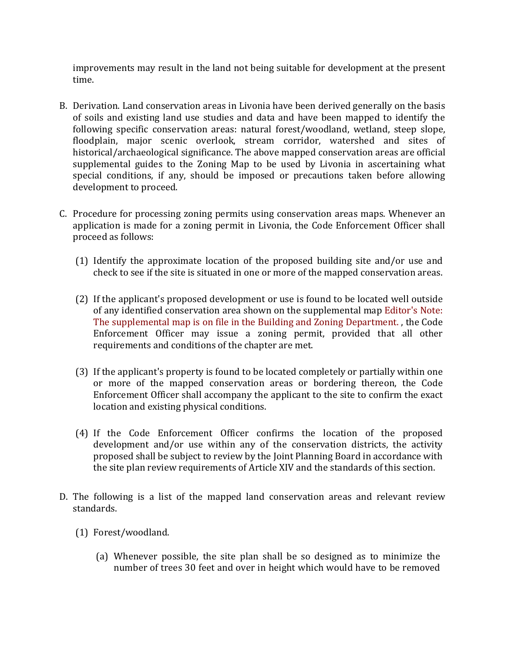improvements may result in the land not being suitable for development at the present time.

- B. Derivation. Land conservation areas in Livonia have been derived generally on the basis of soils and existing land use studies and data and have been mapped to identify the following specific conservation areas: natural forest/woodland, wetland, steep slope, floodplain, major scenic overlook, stream corridor, watershed and sites of historical/archaeological significance. The above mapped conservation areas are official supplemental guides to the Zoning Map to be used by Livonia in ascertaining what special conditions, if any, should be imposed or precautions taken before allowing development to proceed.
- C. Procedure for processing zoning permits using conservation areas maps. Whenever an application is made for a zoning permit in Livonia, the Code Enforcement Officer shall proceed as follows:
	- (1) Identify the approximate location of the proposed building site and/or use and check to see if the site is situated in one or more of the mapped conservation areas.
	- (2) If the applicant's proposed development or use is found to be located well outside of any identified conservation area shown on the supplemental map Editor's Note: The supplemental map is on file in the Building and Zoning Department. , the Code Enforcement Officer may issue a zoning permit, provided that all other requirements and conditions of the chapter are met.
	- (3) If the applicant's property is found to be located completely or partially within one or more of the mapped conservation areas or bordering thereon, the Code Enforcement Officer shall accompany the applicant to the site to confirm the exact location and existing physical conditions.
	- (4) If the Code Enforcement Officer confirms the location of the proposed development and/or use within any of the conservation districts, the activity proposed shall be subject to review by the Joint Planning Board in accordance with the site plan review requirements of Article XIV and the standards of this section.
- D. The following is a list of the mapped land conservation areas and relevant review standards.
	- (1) Forest/woodland.
		- (a) Whenever possible, the site plan shall be so designed as to minimize the number of trees 30 feet and over in height which would have to be removed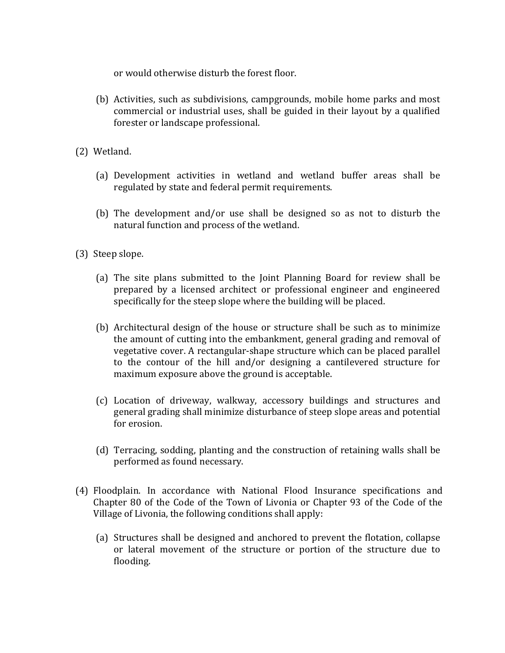or would otherwise disturb the forest floor.

- (b) Activities, such as subdivisions, campgrounds, mobile home parks and most commercial or industrial uses, shall be guided in their layout by a qualified forester or landscape professional.
- (2) Wetland.
	- (a) Development activities in wetland and wetland buffer areas shall be regulated by state and federal permit requirements.
	- (b) The development and/or use shall be designed so as not to disturb the natural function and process of the wetland.
- (3) Steep slope.
	- (a) The site plans submitted to the Joint Planning Board for review shall be prepared by a licensed architect or professional engineer and engineered specifically for the steep slope where the building will be placed.
	- (b) Architectural design of the house or structure shall be such as to minimize the amount of cutting into the embankment, general grading and removal of vegetative cover. A rectangular-shape structure which can be placed parallel to the contour of the hill and/or designing a cantilevered structure for maximum exposure above the ground is acceptable.
	- (c) Location of driveway, walkway, accessory buildings and structures and general grading shall minimize disturbance of steep slope areas and potential for erosion.
	- (d) Terracing, sodding, planting and the construction of retaining walls shall be performed as found necessary.
- (4) Floodplain. In accordance with National Flood Insurance specifications and Chapter 80 of the Code of the Town of Livonia or Chapter 93 of the Code of the Village of Livonia, the following conditions shall apply:
	- (a) Structures shall be designed and anchored to prevent the flotation, collapse or lateral movement of the structure or portion of the structure due to flooding.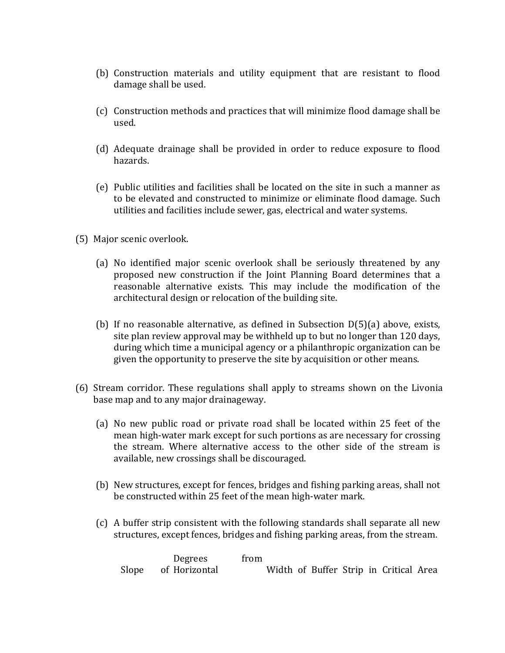- (b) Construction materials and utility equipment that are resistant to flood damage shall be used.
- (c) Construction methods and practices that will minimize flood damage shall be used.
- (d) Adequate drainage shall be provided in order to reduce exposure to flood hazards.
- (e) Public utilities and facilities shall be located on the site in such a manner as to be elevated and constructed to minimize or eliminate flood damage. Such utilities and facilities include sewer, gas, electrical and water systems.
- (5) Major scenic overlook.
	- (a) No identified major scenic overlook shall be seriously threatened by any proposed new construction if the Joint Planning Board determines that a reasonable alternative exists. This may include the modification of the architectural design or relocation of the building site.
	- (b) If no reasonable alternative, as defined in Subsection  $D(5)(a)$  above, exists, site plan review approval may be withheld up to but no longer than 120 days, during which time a municipal agency or a philanthropic organization can be given the opportunity to preserve the site by acquisition or other means.
- (6) Stream corridor. These regulations shall apply to streams shown on the Livonia base map and to any major drainageway.
	- (a) No new public road or private road shall be located within 25 feet of the mean high-water mark except for such portions as are necessary for crossing the stream. Where alternative access to the other side of the stream is available, new crossings shall be discouraged.
	- (b) New structures, except for fences, bridges and fishing parking areas, shall not be constructed within 25 feet of the mean high-water mark.
	- (c) A buffer strip consistent with the following standards shall separate all new structures, except fences, bridges and fishing parking areas, from the stream.

| Degrees             | from                                   |  |
|---------------------|----------------------------------------|--|
| Slope of Horizontal | Width of Buffer Strip in Critical Area |  |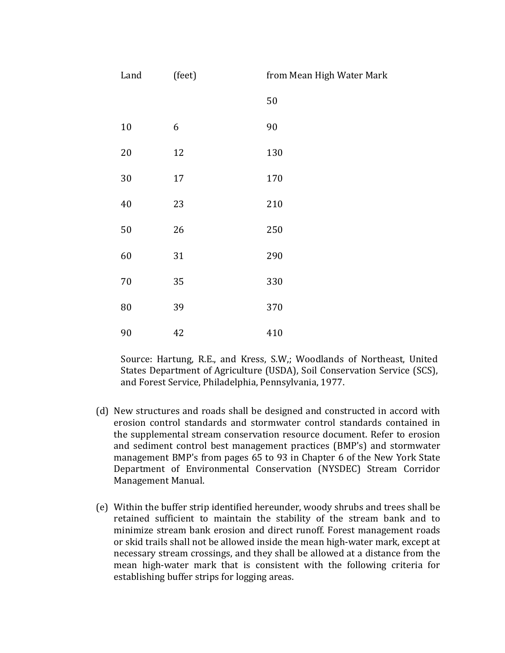| Land   | (feet) | from Mean High Water Mark |
|--------|--------|---------------------------|
|        |        | 50                        |
| $10\,$ | 6      | 90                        |
| 20     | 12     | 130                       |
| 30     | 17     | 170                       |
| 40     | 23     | 210                       |
| 50     | 26     | 250                       |
| 60     | 31     | 290                       |
| $70\,$ | 35     | 330                       |
| 80     | 39     | 370                       |
| 90     | 42     | 410                       |

Source: Hartung, R.E., and Kress, S.W,; Woodlands of Northeast, United States Department of Agriculture (USDA), Soil Conservation Service (SCS), and Forest Service, Philadelphia, Pennsylvania, 1977.

- (d) New structures and roads shall be designed and constructed in accord with erosion control standards and stormwater control standards contained in the supplemental stream conservation resource document. Refer to erosion and sediment control best management practices (BMP's) and stormwater management BMP's from pages 65 to 93 in Chapter 6 of the New York State Department of Environmental Conservation (NYSDEC) Stream Corridor Management Manual.
- (e) Within the buffer strip identified hereunder, woody shrubs and trees shall be retained sufficient to maintain the stability of the stream bank and to minimize stream bank erosion and direct runoff. Forest management roads or skid trails shall not be allowed inside the mean high-water mark, except at necessary stream crossings, and they shall be allowed at a distance from the mean high-water mark that is consistent with the following criteria for establishing buffer strips for logging areas.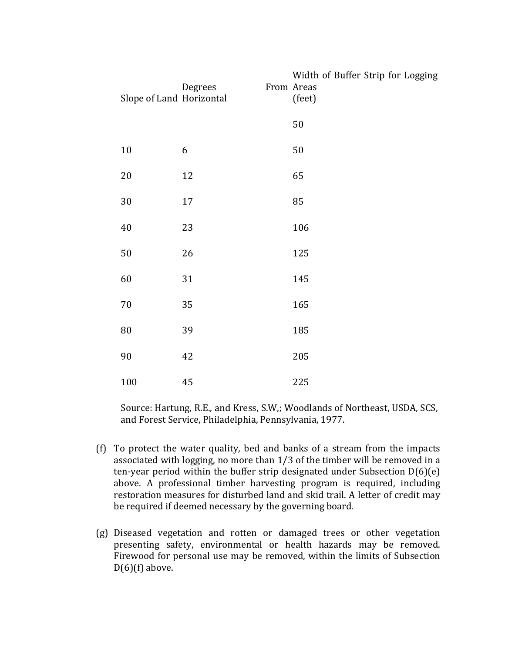| Slope of Land Horizontal | Degrees | Width of Buffer Strip for Logging<br>From Areas<br>(feet) |  |  |
|--------------------------|---------|-----------------------------------------------------------|--|--|
|                          |         | $50\,$                                                    |  |  |
| $10\,$                   | 6       | $50\,$                                                    |  |  |
| $20\,$                   | 12      | 65                                                        |  |  |
| 30                       | 17      | 85                                                        |  |  |
| $40\,$                   | 23      | 106                                                       |  |  |
| 50                       | 26      | 125                                                       |  |  |
| 60                       | 31      | 145                                                       |  |  |
| 70                       | 35      | 165                                                       |  |  |
| ${\bf 80}$               | 39      | 185                                                       |  |  |
| $90\,$                   | 42      | 205                                                       |  |  |
| 100                      | 45      | 225                                                       |  |  |

Source: Hartung, R.E., and Kress, S.W,; Woodlands of Northeast, USDA, SCS, and Forest Service, Philadelphia, Pennsylvania, 1977.

- (f) To protect the water quality, bed and banks of a stream from the impacts associated with logging, no more than 1/3 of the timber will be removed in a ten-year period within the buffer strip designated under Subsection D(6)(e) above. A professional timber harvesting program is required, including restoration measures for disturbed land and skid trail. A letter of credit may be required if deemed necessary by the governing board.
- (g) Diseased vegetation and rotten or damaged trees or other vegetation presenting safety, environmental or health hazards may be removed. Firewood for personal use may be removed, within the limits of Subsection  $D(6)$ (f) above.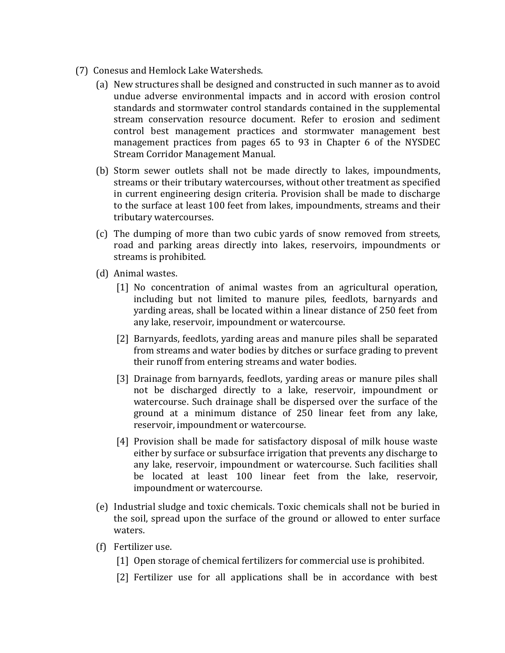- (7) Conesus and Hemlock Lake Watersheds.
	- (a) New structures shall be designed and constructed in such manner as to avoid undue adverse environmental impacts and in accord with erosion control standards and stormwater control standards contained in the supplemental stream conservation resource document. Refer to erosion and sediment control best management practices and stormwater management best management practices from pages 65 to 93 in Chapter 6 of the NYSDEC Stream Corridor Management Manual.
	- (b) Storm sewer outlets shall not be made directly to lakes, impoundments, streams or their tributary watercourses, without other treatment as specified in current engineering design criteria. Provision shall be made to discharge to the surface at least 100 feet from lakes, impoundments, streams and their tributary watercourses.
	- (c) The dumping of more than two cubic yards of snow removed from streets, road and parking areas directly into lakes, reservoirs, impoundments or streams is prohibited.
	- (d) Animal wastes.
		- [1] No concentration of animal wastes from an agricultural operation, including but not limited to manure piles, feedlots, barnyards and yarding areas, shall be located within a linear distance of 250 feet from any lake, reservoir, impoundment or watercourse.
		- [2] Barnyards, feedlots, yarding areas and manure piles shall be separated from streams and water bodies by ditches or surface grading to prevent their runoff from entering streams and water bodies.
		- [3] Drainage from barnyards, feedlots, yarding areas or manure piles shall not be discharged directly to a lake, reservoir, impoundment or watercourse. Such drainage shall be dispersed over the surface of the ground at a minimum distance of 250 linear feet from any lake, reservoir, impoundment or watercourse.
		- [4] Provision shall be made for satisfactory disposal of milk house waste either by surface or subsurface irrigation that prevents any discharge to any lake, reservoir, impoundment or watercourse. Such facilities shall be located at least 100 linear feet from the lake, reservoir, impoundment or watercourse.
	- (e) Industrial sludge and toxic chemicals. Toxic chemicals shall not be buried in the soil, spread upon the surface of the ground or allowed to enter surface waters.
	- (f) Fertilizer use.
		- [1] Open storage of chemical fertilizers for commercial use is prohibited.
		- [2] Fertilizer use for all applications shall be in accordance with best